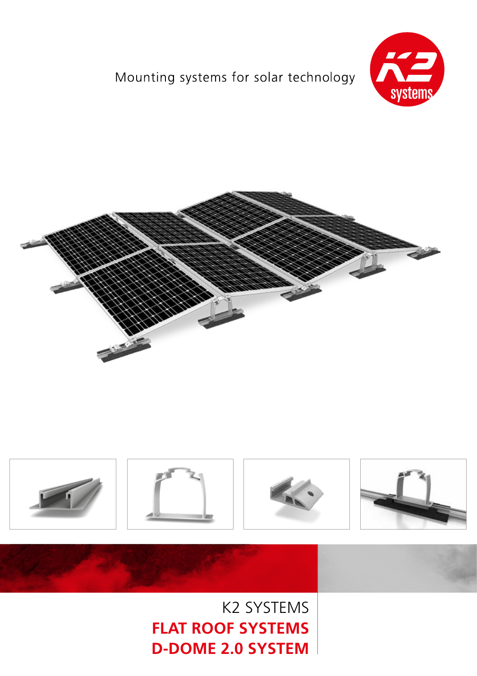## Mounting systems for solar technology









**FLAT ROOF SYSTEMS D-DOME 2.0 SYSTEM**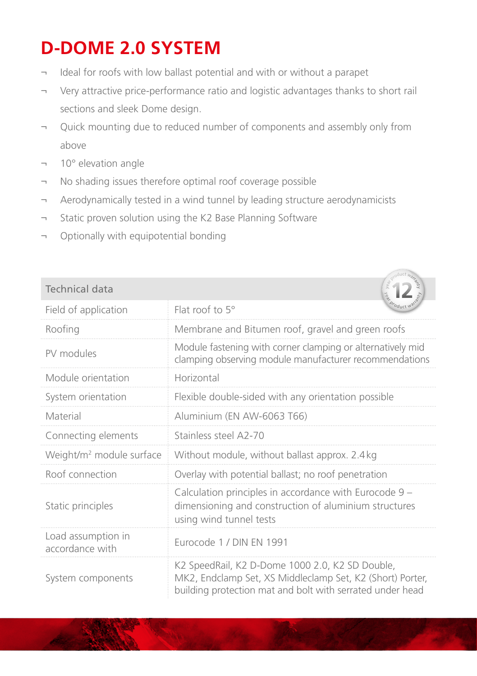## **D-DOME 2.0 SYSTEM**

- Ideal for roofs with low ballast potential and with or without a parapet
- ¬ Very attractive price-performance ratio and logistic advantages thanks to short rail sections and sleek Dome design.
- ¬ Quick mounting due to reduced number of components and assembly only from above
- ¬ 10° elevation angle
- ¬ No shading issues therefore optimal roof coverage possible
- ¬ Aerodynamically tested in a wind tunnel by leading structure aerodynamicists
- ¬ Static proven solution using the K2 Base Planning Software
- ¬ Optionally with equipotential bonding

| <b>Technical data</b>                 |                                                                                                                                                                           |
|---------------------------------------|---------------------------------------------------------------------------------------------------------------------------------------------------------------------------|
| Field of application                  | Flat roof to $5^\circ$                                                                                                                                                    |
| Roofing                               | Membrane and Bitumen roof, gravel and green roofs                                                                                                                         |
| PV modules                            | Module fastening with corner clamping or alternatively mid<br>clamping observing module manufacturer recommendations                                                      |
| Module orientation                    | Horizontal                                                                                                                                                                |
| System orientation                    | Flexible double-sided with any orientation possible                                                                                                                       |
| Material                              | Aluminium (EN AW-6063 T66)                                                                                                                                                |
| Connecting elements                   | Stainless steel A2-70                                                                                                                                                     |
| Weight/m <sup>2</sup> module surface  | Without module, without ballast approx. 2.4kg                                                                                                                             |
| Roof connection                       | Overlay with potential ballast; no roof penetration                                                                                                                       |
| Static principles                     | Calculation principles in accordance with Eurocode 9 –<br>dimensioning and construction of aluminium structures<br>using wind tunnel tests                                |
| Load assumption in<br>accordance with | Eurocode 1 / DIN EN 1991                                                                                                                                                  |
| System components                     | K2 SpeedRail, K2 D-Dome 1000 2.0, K2 SD Double,<br>MK2, Endclamp Set, XS Middleclamp Set, K2 (Short) Porter,<br>building protection mat and bolt with serrated under head |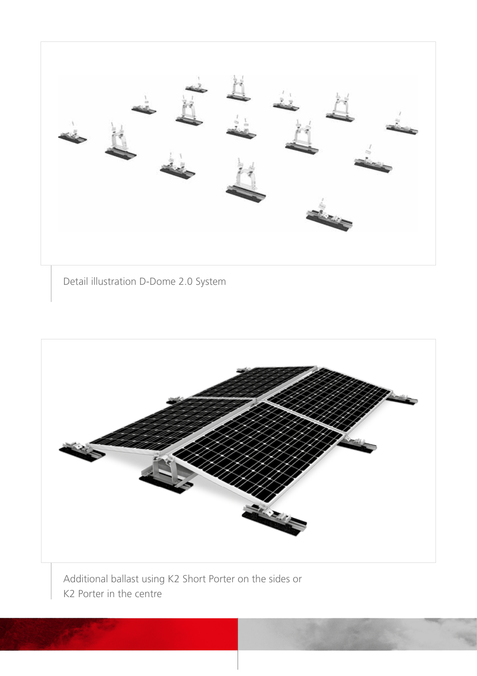

Detail illustration D-Dome 2.0 System



Additional ballast using K2 Short Porter on the sides or K2 Porter in the centre